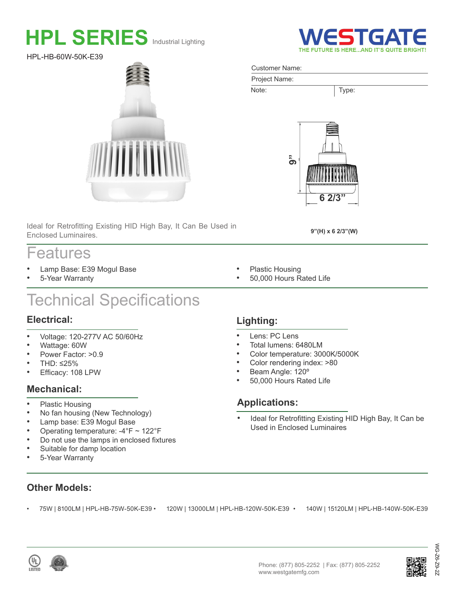# **HPL SERIES** Industrial Lighting

HPL-HB-60W-50K-E39



Ideal for Retrofitting Existing HID High Bay, It Can Be Used in Enclosed Luminaires.

## Features

- Lamp Base: E39 Mogul Base
- 5-Year Warranty

## Technical Specifications

#### **Electrical:**

- Voltage: 120-277V AC 50/60Hz
- Wattage: 60W
- Power Factor: >0.9
- THD: ≤25%
- Efficacy: 108 LPW

### **Mechanical:**

- Plastic Housing<br>• No fan bousing
- No fan housing (New Technology)
- Lamp base: E39 Mogul Base
- Operating temperature: -4°F ~ 122°F
- Do not use the lamps in enclosed fixtures
- Suitable for damp location
- 5-Year Warranty

### **Lighting:**

- Lens: PC Lens
- Total lumens: 6480LM
- Color temperature: 3000K/5000K
- Color rendering index: >80
- Beam Angle: 120º
- 50,000 Hours Rated Life

#### **Applications:**

Ideal for Retrofitting Existing HID High Bay, It Can be Used in Enclosed Luminaires

- **Other Models:**
	-







WG-Z6-Z9-2Z

న్  $\bar{8}$ 



#### Customer Name:



Note: Type:



**9"(H) x 6 2/3"(W)**

- Plastic Housing
- 50,000 Hours Rated Life